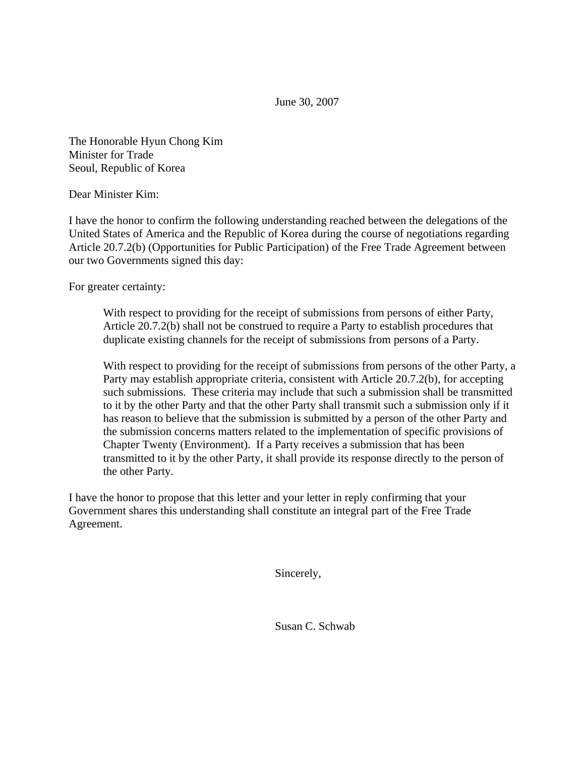June 30, 2007

The Honorable Hyun Chong Kim Minister for Trade Seoul, Republic of Korea

Dear Minister Kim:

I have the honor to confirm the following understanding reached between the delegations of the United States of America and the Republic of Korea during the course of negotiations regarding Article 20.7.2(b) (Opportunities for Public Participation) of the Free Trade Agreement between our two Governments signed this day:

For greater certainty:

With respect to providing for the receipt of submissions from persons of either Party, Article 20.7.2(b) shall not be construed to require a Party to establish procedures that duplicate existing channels for the receipt of submissions from persons of a Party.

With respect to providing for the receipt of submissions from persons of the other Party, a Party may establish appropriate criteria, consistent with Article 20.7.2(b), for accepting such submissions. These criteria may include that such a submission shall be transmitted to it by the other Party and that the other Party shall transmit such a submission only if it has reason to believe that the submission is submitted by a person of the other Party and the submission concerns matters related to the implementation of specific provisions of Chapter Twenty (Environment). If a Party receives a submission that has been transmitted to it by the other Party, it shall provide its response directly to the person of the other Party.

I have the honor to propose that this letter and your letter in reply confirming that your Government shares this understanding shall constitute an integral part of the Free Trade Agreement.

Sincerely,

Susan C. Schwab